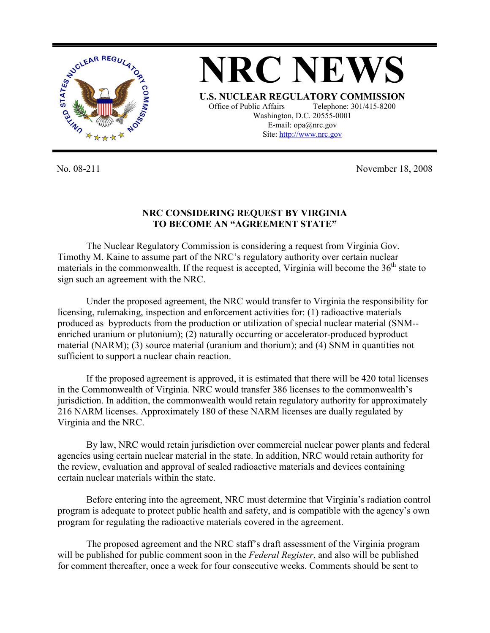

**NRC NEWS U.S. NUCLEAR REGULATORY COMMISSION** Office of Public Affairs Telephone: 301/415-8200 Washington, D.C. 20555-0001 E-mail: opa@nrc.gov Site: http://www.nrc.gov

No. 08-211 November 18, 2008

## **NRC CONSIDERING REQUEST BY VIRGINIA TO BECOME AN "AGREEMENT STATE"**

 The Nuclear Regulatory Commission is considering a request from Virginia Gov. Timothy M. Kaine to assume part of the NRC's regulatory authority over certain nuclear materials in the commonwealth. If the request is accepted, Virginia will become the  $36<sup>th</sup>$  state to sign such an agreement with the NRC.

 Under the proposed agreement, the NRC would transfer to Virginia the responsibility for licensing, rulemaking, inspection and enforcement activities for: (1) radioactive materials produced as byproducts from the production or utilization of special nuclear material (SNM- enriched uranium or plutonium); (2) naturally occurring or accelerator-produced byproduct material (NARM); (3) source material (uranium and thorium); and (4) SNM in quantities not sufficient to support a nuclear chain reaction.

If the proposed agreement is approved, it is estimated that there will be 420 total licenses in the Commonwealth of Virginia. NRC would transfer 386 licenses to the commonwealth's jurisdiction. In addition, the commonwealth would retain regulatory authority for approximately 216 NARM licenses. Approximately 180 of these NARM licenses are dually regulated by Virginia and the NRC.

 By law, NRC would retain jurisdiction over commercial nuclear power plants and federal agencies using certain nuclear material in the state. In addition, NRC would retain authority for the review, evaluation and approval of sealed radioactive materials and devices containing certain nuclear materials within the state.

 Before entering into the agreement, NRC must determine that Virginia's radiation control program is adequate to protect public health and safety, and is compatible with the agency's own program for regulating the radioactive materials covered in the agreement.

 The proposed agreement and the NRC staff's draft assessment of the Virginia program will be published for public comment soon in the *Federal Register*, and also will be published for comment thereafter, once a week for four consecutive weeks. Comments should be sent to